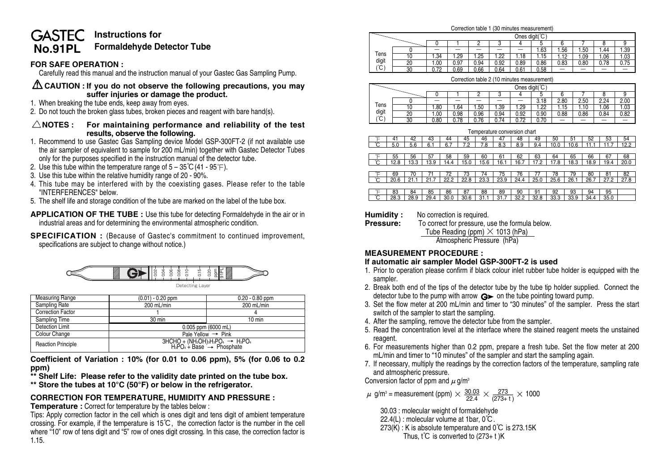### **GASTEC Instructions for No.91PL Formaldehyde Detector Tube**

# **FOR SAFE OPERATION :**

Carefully read this manual and the instruction manual of your Gastec Gas Sampling Pump.

### **CAUTION : If you do not observe the following precautions, you may suffer injuries or damage the product.**

- 1. When breaking the tube ends, keep away from eyes.
- 2. Do not touch the broken glass tubes, broken pieces and reagent with bare hand(s).

### **NOTES : For maintaining performance and reliability of the test results, observe the following.**

- 1. Recommend to use Gastec Gas Sampling device Model GSP-300FT-2 (if not available use the air sampler of equivalent to sample for 200 mL/min) together with Gastec Detector Tubes only for the purposes specified in the instruction manual of the detector tube.
- 2. Use this tube within the temperature range of  $5 35^{\circ}C(41 95^{\circ}F)$ .
- 3. Use this tube within the relative humidity range of 20 90%.
- 4. This tube may be interfered with by the coexisting gases. Please refer to the table "INTERFERENCES" below.
- 5. The shelf life and storage condition of the tube are marked on the label of the tube box.

**APPLICATION OF THE TUBE :** Use this tube for detecting Formaldehyde in the air or in industrial areas and for determining the environmental atmospheric condition.

**SPECIFICATION** : (Because of Gastec's commitment to continued improvement, specifications are subject to change without notice.)



| <b>Measuring Range</b>    | $(0.01) - 0.20$ ppm                                                               | $0.20 - 0.80$ ppm              |  |  |  |  |
|---------------------------|-----------------------------------------------------------------------------------|--------------------------------|--|--|--|--|
| Sampling Rate             | 200 mL/min                                                                        | 200 mL/min                     |  |  |  |  |
| <b>Correction Factor</b>  |                                                                                   |                                |  |  |  |  |
| Sampling Time             | $30 \text{ min}$                                                                  | $10 \text{ min}$               |  |  |  |  |
| Detection Limit           | 0.005 ppm (6000 mL)                                                               |                                |  |  |  |  |
| Colour Change             |                                                                                   | Pale Yellow $\rightarrow$ Pink |  |  |  |  |
| <b>Reaction Principle</b> | $3HCHO + (NH2OH)3H3PO4 \rightarrow H3PO4$<br>$H3PO4 + Base \rightarrow Phosphate$ |                                |  |  |  |  |

**Coefficient of Variation : 10% (for 0.01 to 0.06 ppm), 5% (for 0.06 to 0.2 ppm)**

**\*\* Shelf Life: Please refer to the validity date printed on the tube box.**

**\*\* Store the tubes at 10°C (50°F) or below in the refrigerator.**

# **CORRECTION FOR TEMPERATURE, HUMIDITY AND PRESSURE :**

**Temperature :** Correct for temperature by the tables below :

Tips: Apply correction factor in the cell which is ones digit and tens digit of ambient temperature crossing. For example, if the temperature is 15℃, the correction factor is the number in the cell where "10" row of tens digit and "5" row of ones digit crossing. In this case, the correction factor is 1.15.

## Ones digit(°C) Correction table 1 (30 minutes measurement)

|            |    |             | -    |      | -    |      | 1.63 | 1.56 | . .50 | .44  | 1.39 |
|------------|----|-------------|------|------|------|------|------|------|-------|------|------|
| Tens       | 10 | .34         | .29  | 1.25 | .22  | .18  | 1.15 | 1.12 | .09   | 0.06 | 1.03 |
| digit      | 20 | 0.00        | 0.97 | 0.94 | 0.92 | 0.89 | 0.86 | 0.83 | 0.80  | 0.78 | 0.75 |
| '″'ا<br>J. | 30 | 72<br>◡.≀ ← | 0.69 | 0.66 | 0.64 | 0.61 | 0.58 | -    | -     | -    |      |

| Correction table 2 (10 minutes measurement) |                |      |      |      |      |      |      |      |      |      |      |
|---------------------------------------------|----------------|------|------|------|------|------|------|------|------|------|------|
|                                             | Ones diait(°C) |      |      |      |      |      |      |      |      |      |      |
|                                             |                |      |      |      |      |      |      |      |      |      |      |
|                                             |                |      |      |      |      |      | 3.18 | 2.80 | 2.50 | 2.24 | 2.00 |
| Tens                                        |                | 1.80 | .64  | 1.50 | .39  | 1.29 | 1.22 | 1.15 | 1.10 | 1.06 | 1.03 |
| digit                                       | 20             | 1.00 | 0.98 | 0.96 | 0.94 | 0.92 | 0.90 | 0.88 | 0.86 | 0.84 | 0.82 |
| °C)                                         | 30             | 0.80 | 0.78 | 0.76 | 0.74 | 0.72 | 0.70 |      |      |      |      |

Temperature conversion chart

| i emperature conversion chan |      |      |      |      |      |      |      |      |      |      |      |      |      |      |
|------------------------------|------|------|------|------|------|------|------|------|------|------|------|------|------|------|
| ⊢                            | 41   | 42   | 43   | 44   | 45   | 46   | 47   | 48   | 49   | 50   | 51   | 52   | 53   | 54   |
| ົ                            | 5.0  | 5.6  | 6.1  | 6.7  | 7.2  | 7.8  | 8.3  | 8.9  | 9.4  | 10.0 | 10.6 | 11.1 | 11.7 | 12.2 |
|                              |      |      |      |      |      |      |      |      |      |      |      |      |      |      |
| ⊢                            | 55   | 56   | 57   | 58   | 59   | 60   | 61   | 62   | 63   | 64   | 65   | 66   | 67   | 68   |
| $^{\circ}$ C                 | 12.8 | 13.3 | 13.9 | 14.4 | 15.0 | 15.6 | 16.1 | 16.7 | 17.2 | 17.8 | 18.3 | 18.9 | 19.4 | 20.0 |
|                              |      |      |      |      |      |      |      |      |      |      |      |      |      |      |
| ⊢                            | 69   | 70   |      | 72   | 73   | 74   | 75   | 76   | 77   | 78   | 79   | 80   | 81   | 82   |
| Ĉ                            | 20.6 | 21.1 | 21.7 | 22.2 | 22.8 | 23.3 | 23.9 | 24.4 | 25.0 | 25.6 | 26.1 | 26.7 | 27.2 | 27.8 |
|                              |      |      |      |      |      |      |      |      |      |      |      |      |      |      |
| ℃                            | 83   | 84   | 85   | 86   | 87   | 88   | 89   | 90   | 91   | 92   | 93   | 94   | 95   |      |
| °C                           | 28.3 | 28.9 | 29.4 | 30.0 | 30.6 | 31.1 | 31.7 | 32.2 | 32.8 | 33.3 | 33.9 | 34.4 | 35.0 |      |

**Humidity :** No correction is required.<br>**Pressure:** To correct for pressure u

**Pressure:** To correct for pressure, use the formula below. Tube Reading (ppm) **×** 1013 (hPa) Atmospheric Pressure (hPa)

## **MEASUREMENT PROCEDURE :**

### **If automatic air sampler Model GSP-300FT-2 is used**

- 1. Prior to operation please confirm if black colour inlet rubber tube holder is equipped with the sampler.
- 2. Break both end of the tips of the detector tube by the tube tip holder supplied. Connect the detector tube to the pump with arrow  $\mathbf{G}$  on the tube pointing toward pump.
- 3. Set the flow meter at 200 mL/min and timer to "30 minutes" of the sampler. Press the start switch of the sampler to start the sampling.
- 4. After the sampling, remove the detector tube from the sampler.
- 5. Read the concentration level at the interface where the stained reagent meets the unstained reagent.
- 6. For measurements higher than 0.2 ppm, prepare a fresh tube. Set the flow meter at 200 mL/min and timer to "10 minutes" of the sampler and start the sampling again.
- 7. If necessary, multiply the readings by the correction factors of the temperature, sampling rate and atmospheric pressure.

Conversion factor of ppm and  $\mu$  g/m<sup>3</sup>

 $μ$  g/m<sup>3</sup> = measurement (ppm)  $\times \frac{30.03}{22.4} \times \frac{273}{(273+t)} \times 1000$ 

30.03 : molecular weight of formaldehyde

- 22.4(L) : molecular volume at 1bar, 0℃.
- 273(K) : K is absolute temperature and 0℃ is 273.15K Thus,  $t^{\circ}C$  is converted to (273+ t)K